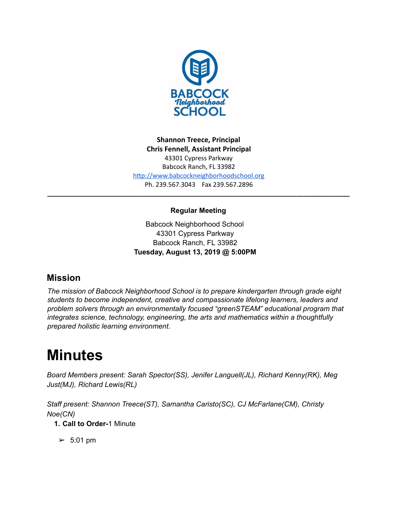

**Shannon Treece, Principal Chris Fennell, Assistant Principal** 43301 Cypress Parkway Babcock Ranch, FL 33982 http://www.babcockneighborhoodschool.org Ph. 239.567.3043 Fax 239.567.2896

## **Regular Meeting**

**\_\_\_\_\_\_\_\_\_\_\_\_\_\_\_\_\_\_\_\_\_\_\_\_\_\_\_\_\_\_\_\_\_\_\_\_\_\_\_\_\_\_\_\_\_\_\_\_\_\_\_\_\_\_\_\_\_\_\_\_\_\_\_\_\_\_\_\_\_\_\_\_\_\_\_\_\_\_\_\_\_\_\_\_\_**

Babcock Neighborhood School 43301 Cypress Parkway Babcock Ranch, FL 33982 **Tuesday, August 13, 2019 @ 5:00PM**

## **Mission**

*The mission of Babcock Neighborhood School is to prepare kindergarten through grade eight students to become independent, creative and compassionate lifelong learners, leaders and problem solvers through an environmentally focused "greenSTEAM" educational program that integrates science, technology, engineering, the arts and mathematics within a thoughtfully prepared holistic learning environment.*

# **Minutes**

*Board Members present: Sarah Spector(SS), Jenifer Languell(JL), Richard Kenny(RK), Meg Just(MJ), Richard Lewis(RL)*

*Staff present: Shannon Treece(ST), Samantha Caristo(SC), CJ McFarlane(CM), Christy Noe(CN)*

**1. Call to Order-**1 Minute

 $> 5:01 \text{ pm}$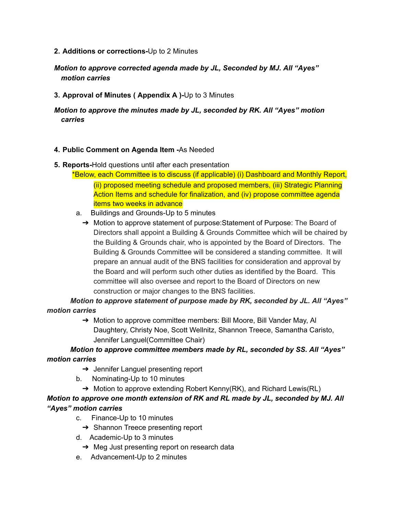#### **2. Additions or corrections-**Up to 2 Minutes

## *Motion to approve corrected agenda made by JL, Seconded by MJ. All "Ayes" motion carries*

**3. Approval of Minutes ( Appendix A )-**Up to 3 Minutes

## *Motion to approve the minutes made by JL, seconded by RK. All "Ayes" motion carries*

#### **4. Public Comment on Agenda Item -**As Needed

- **5. Reports-**Hold questions until after each presentation
	- \*Below, each Committee is to discuss (if applicable) (i) Dashboard and Monthly Report, (ii) proposed meeting schedule and proposed members, (iii) Strategic Planning Action Items and schedule for finalization, and (iv) propose committee agenda items two weeks in advance
	- a. Buildings and Grounds-Up to 5 minutes
		- ➔ Motion to approve statement of purpose:Statement of Purpose: The Board of Directors shall appoint a Building & Grounds Committee which will be chaired by the Building & Grounds chair, who is appointed by the Board of Directors. The Building & Grounds Committee will be considered a standing committee. It will prepare an annual audit of the BNS facilities for consideration and approval by the Board and will perform such other duties as identified by the Board. This committee will also oversee and report to the Board of Directors on new construction or major changes to the BNS facilities.

*Motion to approve statement of purpose made by RK, seconded by JL. All "Ayes" motion carries*

> → Motion to approve committee members: Bill Moore, Bill Vander May, Al Daughtery, Christy Noe, Scott Wellnitz, Shannon Treece, Samantha Caristo, Jennifer Languel(Committee Chair)

## *Motion to approve committee members made by RL, seconded by SS. All "Ayes" motion carries*

- ➔ Jennifer Languel presenting report
- b. Nominating-Up to 10 minutes
	- → Motion to approve extending Robert Kenny(RK), and Richard Lewis(RL)

## *Motion to approve one month extension of RK and RL made by JL, seconded by MJ. All "Ayes" motion carries*

- c. Finance-Up to 10 minutes
	- $\rightarrow$  Shannon Treece presenting report
- d. Academic-Up to 3 minutes
	- → Meg Just presenting report on research data
- e. Advancement-Up to 2 minutes